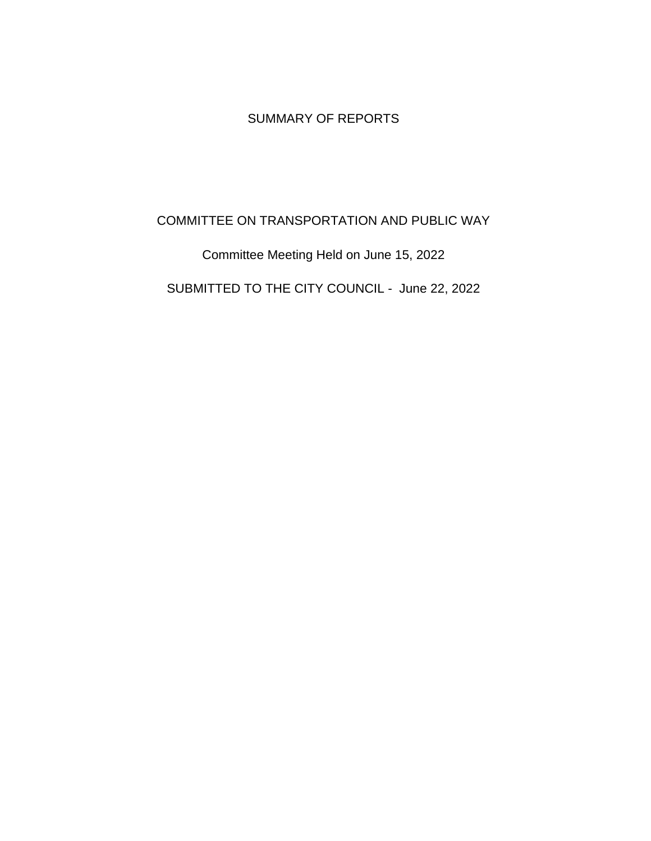# SUMMARY OF REPORTS

## COMMITTEE ON TRANSPORTATION AND PUBLIC WAY

Committee Meeting Held on June 15, 2022

SUBMITTED TO THE CITY COUNCIL - June 22, 2022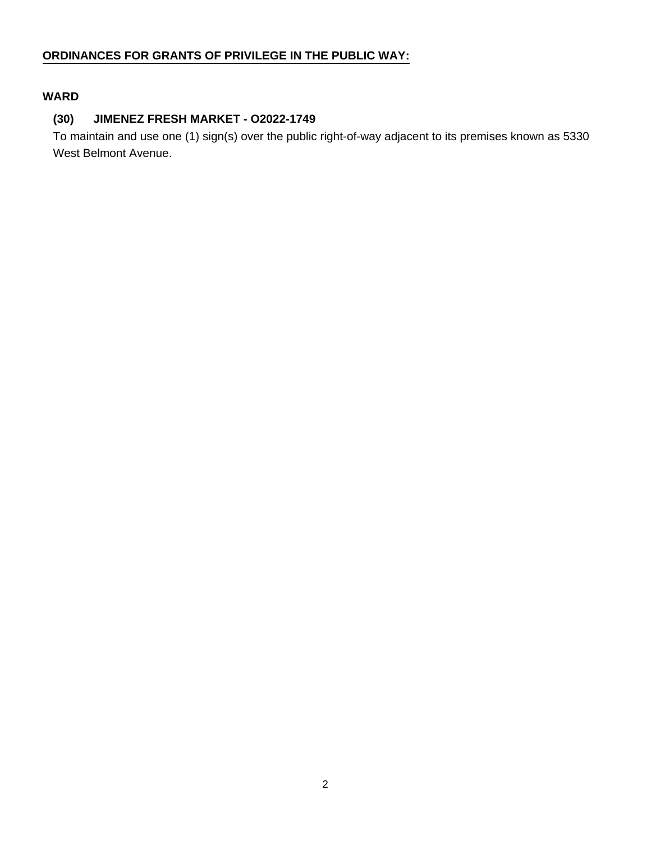## **ORDINANCES FOR GRANTS OF PRIVILEGE IN THE PUBLIC WAY:**

## **WARD**

#### **(30) JIMENEZ FRESH MARKET - O2022-1749**

To maintain and use one (1) sign(s) over the public right-of-way adjacent to its premises known as 5330 West Belmont Avenue.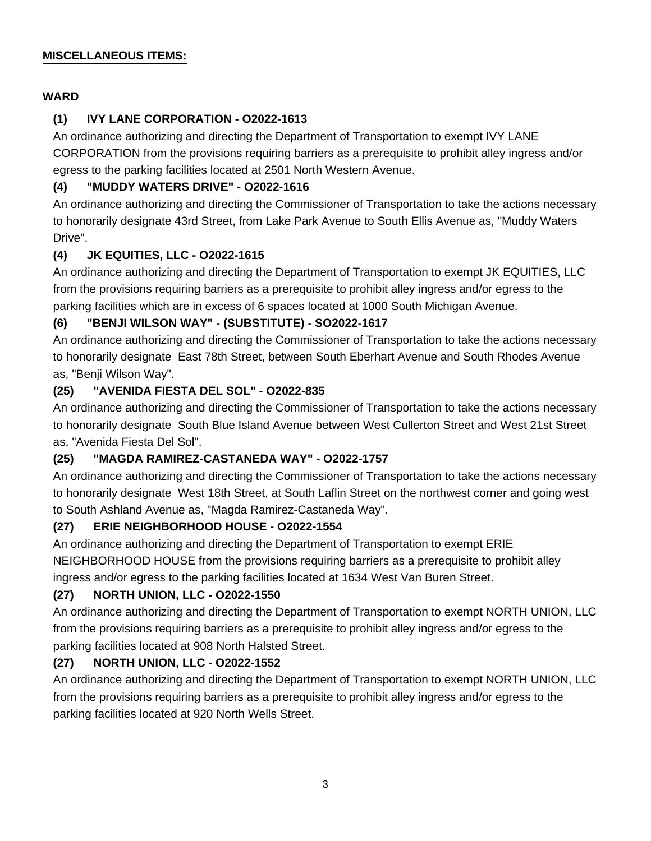#### **MISCELLANEOUS ITEMS:**

### **WARD**

## **(1) IVY LANE CORPORATION - O2022-1613**

An ordinance authorizing and directing the Department of Transportation to exempt IVY LANE CORPORATION from the provisions requiring barriers as a prerequisite to prohibit alley ingress and/or egress to the parking facilities located at 2501 North Western Avenue.

## **(4) "MUDDY WATERS DRIVE" - O2022-1616**

An ordinance authorizing and directing the Commissioner of Transportation to take the actions necessary to honorarily designate 43rd Street, from Lake Park Avenue to South Ellis Avenue as, "Muddy Waters Drive".

### **(4) JK EQUITIES, LLC - O2022-1615**

An ordinance authorizing and directing the Department of Transportation to exempt JK EQUITIES, LLC from the provisions requiring barriers as a prerequisite to prohibit alley ingress and/or egress to the parking facilities which are in excess of 6 spaces located at 1000 South Michigan Avenue.

## **(6) "BENJI WILSON WAY" - (SUBSTITUTE) - SO2022-1617**

An ordinance authorizing and directing the Commissioner of Transportation to take the actions necessary to honorarily designate East 78th Street, between South Eberhart Avenue and South Rhodes Avenue as, "Benji Wilson Way".

### **(25) "AVENIDA FIESTA DEL SOL" - O2022-835**

An ordinance authorizing and directing the Commissioner of Transportation to take the actions necessary to honorarily designate South Blue Island Avenue between West Cullerton Street and West 21st Street as, "Avenida Fiesta Del Sol".

### **(25) "MAGDA RAMIREZ-CASTANEDA WAY" - O2022-1757**

An ordinance authorizing and directing the Commissioner of Transportation to take the actions necessary to honorarily designate West 18th Street, at South Laflin Street on the northwest corner and going west to South Ashland Avenue as, "Magda Ramirez-Castaneda Way".

### **(27) ERIE NEIGHBORHOOD HOUSE - O2022-1554**

An ordinance authorizing and directing the Department of Transportation to exempt ERIE NEIGHBORHOOD HOUSE from the provisions requiring barriers as a prerequisite to prohibit alley ingress and/or egress to the parking facilities located at 1634 West Van Buren Street.

# **(27) NORTH UNION, LLC - O2022-1550**

An ordinance authorizing and directing the Department of Transportation to exempt NORTH UNION, LLC from the provisions requiring barriers as a prerequisite to prohibit alley ingress and/or egress to the parking facilities located at 908 North Halsted Street.

# **(27) NORTH UNION, LLC - O2022-1552**

An ordinance authorizing and directing the Department of Transportation to exempt NORTH UNION, LLC from the provisions requiring barriers as a prerequisite to prohibit alley ingress and/or egress to the parking facilities located at 920 North Wells Street.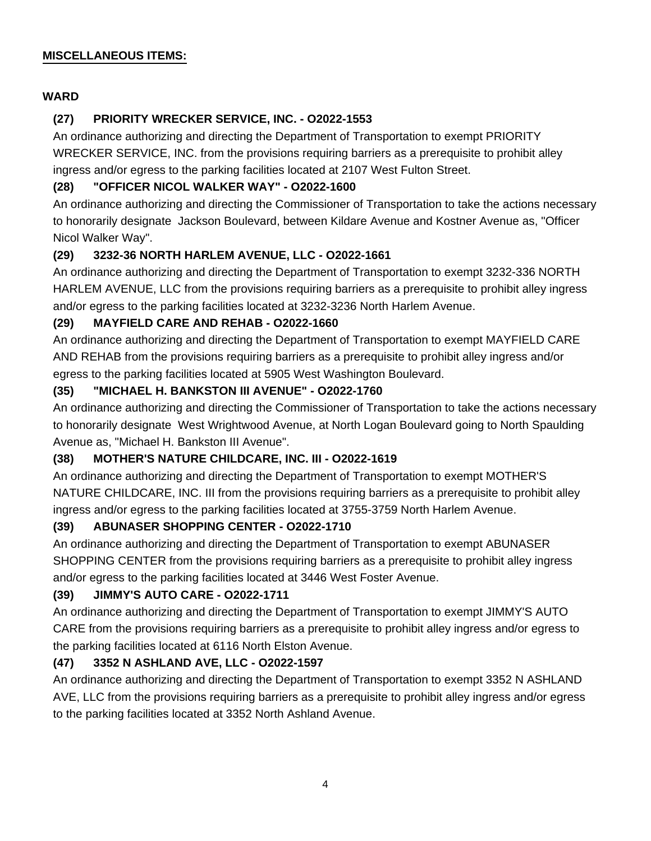#### **MISCELLANEOUS ITEMS:**

### **WARD**

## **(27) PRIORITY WRECKER SERVICE, INC. - O2022-1553**

An ordinance authorizing and directing the Department of Transportation to exempt PRIORITY WRECKER SERVICE, INC. from the provisions requiring barriers as a prerequisite to prohibit alley ingress and/or egress to the parking facilities located at 2107 West Fulton Street.

## **(28) "OFFICER NICOL WALKER WAY" - O2022-1600**

An ordinance authorizing and directing the Commissioner of Transportation to take the actions necessary to honorarily designate Jackson Boulevard, between Kildare Avenue and Kostner Avenue as, "Officer Nicol Walker Way".

### **(29) 3232-36 NORTH HARLEM AVENUE, LLC - O2022-1661**

An ordinance authorizing and directing the Department of Transportation to exempt 3232-336 NORTH HARLEM AVENUE, LLC from the provisions requiring barriers as a prerequisite to prohibit alley ingress and/or egress to the parking facilities located at 3232-3236 North Harlem Avenue.

### **(29) MAYFIELD CARE AND REHAB - O2022-1660**

An ordinance authorizing and directing the Department of Transportation to exempt MAYFIELD CARE AND REHAB from the provisions requiring barriers as a prerequisite to prohibit alley ingress and/or egress to the parking facilities located at 5905 West Washington Boulevard.

## **(35) "MICHAEL H. BANKSTON III AVENUE" - O2022-1760**

An ordinance authorizing and directing the Commissioner of Transportation to take the actions necessary to honorarily designate West Wrightwood Avenue, at North Logan Boulevard going to North Spaulding Avenue as, "Michael H. Bankston III Avenue".

# **(38) MOTHER'S NATURE CHILDCARE, INC. III - O2022-1619**

An ordinance authorizing and directing the Department of Transportation to exempt MOTHER'S NATURE CHILDCARE, INC. III from the provisions requiring barriers as a prerequisite to prohibit alley ingress and/or egress to the parking facilities located at 3755-3759 North Harlem Avenue.

### **(39) ABUNASER SHOPPING CENTER - O2022-1710**

An ordinance authorizing and directing the Department of Transportation to exempt ABUNASER SHOPPING CENTER from the provisions requiring barriers as a prerequisite to prohibit alley ingress and/or egress to the parking facilities located at 3446 West Foster Avenue.

# **(39) JIMMY'S AUTO CARE - O2022-1711**

An ordinance authorizing and directing the Department of Transportation to exempt JIMMY'S AUTO CARE from the provisions requiring barriers as a prerequisite to prohibit alley ingress and/or egress to the parking facilities located at 6116 North Elston Avenue.

### **(47) 3352 N ASHLAND AVE, LLC - O2022-1597**

An ordinance authorizing and directing the Department of Transportation to exempt 3352 N ASHLAND AVE, LLC from the provisions requiring barriers as a prerequisite to prohibit alley ingress and/or egress to the parking facilities located at 3352 North Ashland Avenue.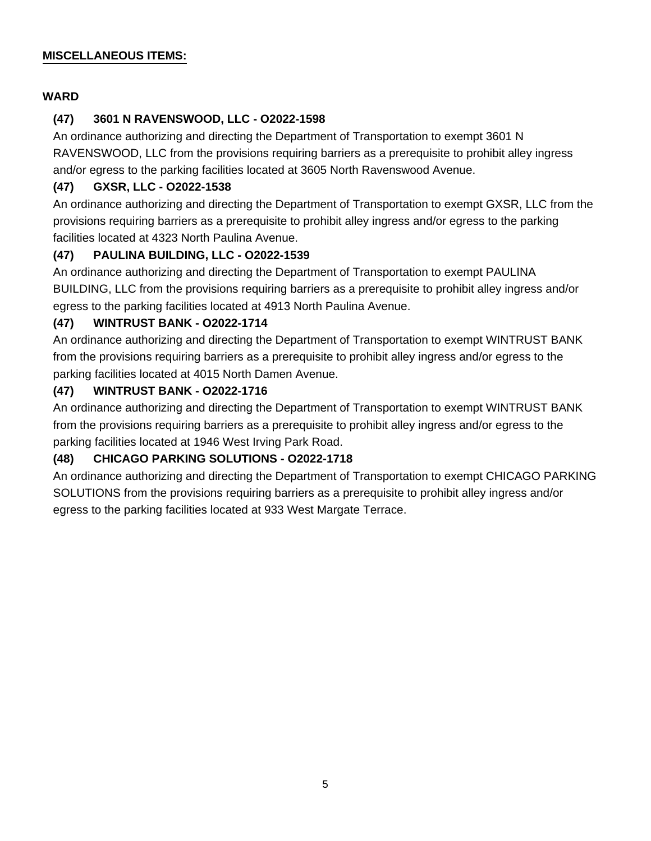#### **MISCELLANEOUS ITEMS:**

#### **WARD**

#### **(47) 3601 N RAVENSWOOD, LLC - O2022-1598**

An ordinance authorizing and directing the Department of Transportation to exempt 3601 N RAVENSWOOD, LLC from the provisions requiring barriers as a prerequisite to prohibit alley ingress and/or egress to the parking facilities located at 3605 North Ravenswood Avenue.

#### **(47) GXSR, LLC - O2022-1538**

An ordinance authorizing and directing the Department of Transportation to exempt GXSR, LLC from the provisions requiring barriers as a prerequisite to prohibit alley ingress and/or egress to the parking facilities located at 4323 North Paulina Avenue.

#### **(47) PAULINA BUILDING, LLC - O2022-1539**

An ordinance authorizing and directing the Department of Transportation to exempt PAULINA BUILDING, LLC from the provisions requiring barriers as a prerequisite to prohibit alley ingress and/or egress to the parking facilities located at 4913 North Paulina Avenue.

#### **(47) WINTRUST BANK - O2022-1714**

An ordinance authorizing and directing the Department of Transportation to exempt WINTRUST BANK from the provisions requiring barriers as a prerequisite to prohibit alley ingress and/or egress to the parking facilities located at 4015 North Damen Avenue.

#### **(47) WINTRUST BANK - O2022-1716**

An ordinance authorizing and directing the Department of Transportation to exempt WINTRUST BANK from the provisions requiring barriers as a prerequisite to prohibit alley ingress and/or egress to the parking facilities located at 1946 West Irving Park Road.

#### **(48) CHICAGO PARKING SOLUTIONS - O2022-1718**

An ordinance authorizing and directing the Department of Transportation to exempt CHICAGO PARKING SOLUTIONS from the provisions requiring barriers as a prerequisite to prohibit alley ingress and/or egress to the parking facilities located at 933 West Margate Terrace.